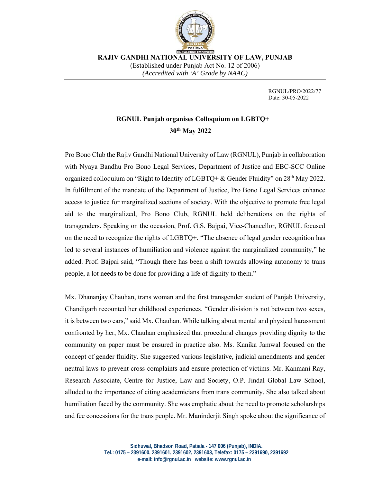

 **RAJIV GANDHI NATIONAL UNIVERSITY OF LAW, PUNJAB**  (Established under Punjab Act No. 12 of 2006) *(Accredited with 'A' Grade by NAAC)* 

> RGNUL/PRO/2022/77 Date: 30-05-2022

## **RGNUL Punjab organises Colloquium on LGBTQ+ 30th May 2022**

Pro Bono Club the Rajiv Gandhi National University of Law (RGNUL), Punjab in collaboration with Nyaya Bandhu Pro Bono Legal Services, Department of Justice and EBC-SCC Online organized colloquium on "Right to Identity of LGBTQ+ & Gender Fluidity" on 28<sup>th</sup> May 2022. In fulfillment of the mandate of the Department of Justice, Pro Bono Legal Services enhance access to justice for marginalized sections of society. With the objective to promote free legal aid to the marginalized, Pro Bono Club, RGNUL held deliberations on the rights of transgenders. Speaking on the occasion, Prof. G.S. Bajpai, Vice-Chancellor, RGNUL focused on the need to recognize the rights of LGBTQ+. "The absence of legal gender recognition has led to several instances of humiliation and violence against the marginalized community," he added. Prof. Bajpai said, "Though there has been a shift towards allowing autonomy to trans people, a lot needs to be done for providing a life of dignity to them."

Mx. Dhananjay Chauhan, trans woman and the first transgender student of Panjab University, Chandigarh recounted her childhood experiences. "Gender division is not between two sexes, it is between two ears," said Mx. Chauhan. While talking about mental and physical harassment confronted by her, Mx. Chauhan emphasized that procedural changes providing dignity to the community on paper must be ensured in practice also. Ms. Kanika Jamwal focused on the concept of gender fluidity. She suggested various legislative, judicial amendments and gender neutral laws to prevent cross-complaints and ensure protection of victims. Mr. Kanmani Ray, Research Associate, Centre for Justice, Law and Society, O.P. Jindal Global Law School, alluded to the importance of citing academicians from trans community. She also talked about humiliation faced by the community. She was emphatic about the need to promote scholarships and fee concessions for the trans people. Mr. Maninderjit Singh spoke about the significance of